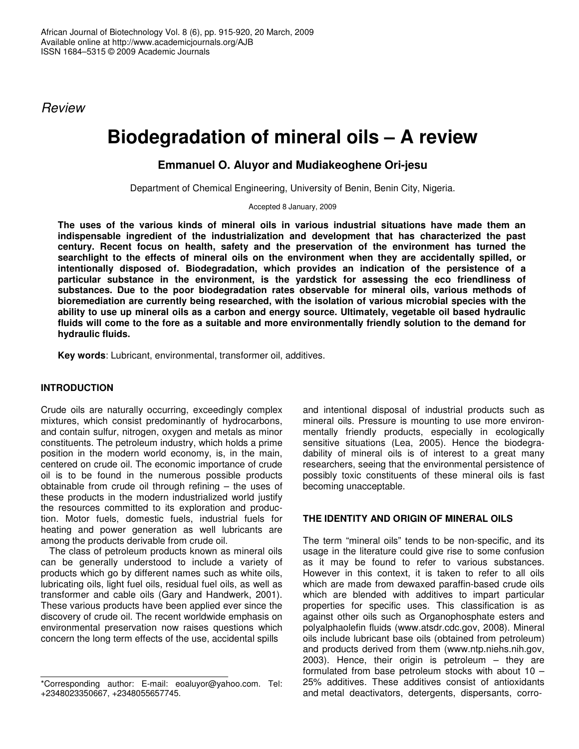*Review*

# **Biodegradation of mineral oils – A review**

# **Emmanuel O. Aluyor and Mudiakeoghene Ori-jesu**

Department of Chemical Engineering, University of Benin, Benin City, Nigeria.

Accepted 8 January, 2009

**The uses of the various kinds of mineral oils in various industrial situations have made them an indispensable ingredient of the industrialization and development that has characterized the past century. Recent focus on health, safety and the preservation of the environment has turned the searchlight to the effects of mineral oils on the environment when they are accidentally spilled, or intentionally disposed of. Biodegradation, which provides an indication of the persistence of a particular substance in the environment, is the yardstick for assessing the eco friendliness of substances. Due to the poor biodegradation rates observable for mineral oils, various methods of bioremediation are currently being researched, with the isolation of various microbial species with the ability to use up mineral oils as a carbon and energy source. Ultimately, vegetable oil based hydraulic** fluids will come to the fore as a suitable and more environmentally friendly solution to the demand for **hydraulic fluids.**

**Key words**: Lubricant, environmental, transformer oil, additives.

## **INTRODUCTION**

Crude oils are naturally occurring, exceedingly complex mixtures, which consist predominantly of hydrocarbons, and contain sulfur, nitrogen, oxygen and metals as minor constituents. The petroleum industry, which holds a prime position in the modern world economy, is, in the main, centered on crude oil. The economic importance of crude oil is to be found in the numerous possible products obtainable from crude oil through refining – the uses of these products in the modern industrialized world justify the resources committed to its exploration and production. Motor fuels, domestic fuels, industrial fuels for heating and power generation as well lubricants are among the products derivable from crude oil.

The class of petroleum products known as mineral oils can be generally understood to include a variety of products which go by different names such as white oils, lubricating oils, light fuel oils, residual fuel oils, as well as transformer and cable oils (Gary and Handwerk, 2001). These various products have been applied ever since the discovery of crude oil. The recent worldwide emphasis on environmental preservation now raises questions which concern the long term effects of the use, accidental spills

and intentional disposal of industrial products such as mineral oils. Pressure is mounting to use more environmentally friendly products, especially in ecologically sensitive situations (Lea, 2005). Hence the biodegradability of mineral oils is of interest to a great many researchers, seeing that the environmental persistence of possibly toxic constituents of these mineral oils is fast becoming unacceptable.

## **THE IDENTITY AND ORIGIN OF MINERAL OILS**

The term "mineral oils" tends to be non-specific, and its usage in the literature could give rise to some confusion as it may be found to refer to various substances. However in this context, it is taken to refer to all oils which are made from dewaxed paraffin-based crude oils which are blended with additives to impart particular properties for specific uses. This classification is as against other oils such as Organophosphate esters and polyalphaolefin fluids (www.atsdr.cdc.gov, 2008). Mineral oils include lubricant base oils (obtained from petroleum) and products derived from them (www.ntp.niehs.nih.gov, 2003). Hence, their origin is petroleum – they are formulated from base petroleum stocks with about 10 – 25% additives. These additives consist of antioxidants and metal deactivators, detergents, dispersants, corro-

<sup>\*</sup>Corresponding author: E-mail: eoaluyor@yahoo.com. Tel: +2348023350667, +2348055657745.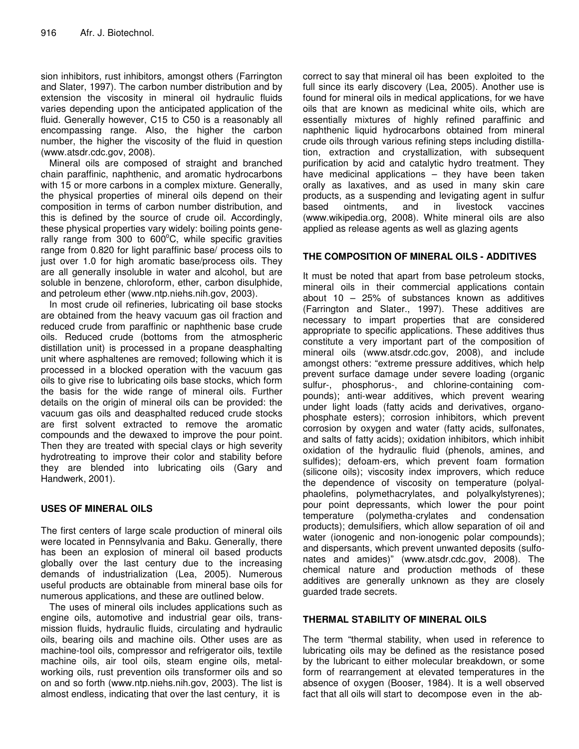sion inhibitors, rust inhibitors, amongst others (Farrington and Slater, 1997). The carbon number distribution and by extension the viscosity in mineral oil hydraulic fluids varies depending upon the anticipated application of the fluid. Generally however, C15 to C50 is a reasonably all encompassing range. Also, the higher the carbon number, the higher the viscosity of the fluid in question (www.atsdr.cdc.gov, 2008).

Mineral oils are composed of straight and branched chain paraffinic, naphthenic, and aromatic hydrocarbons with 15 or more carbons in a complex mixture. Generally, the physical properties of mineral oils depend on their composition in terms of carbon number distribution, and this is defined by the source of crude oil. Accordingly, these physical properties vary widely: boiling points generally range from 300 to 600°C, while specific gravities range from 0.820 for light paraffinic base/ process oils to just over 1.0 for high aromatic base/process oils. They are all generally insoluble in water and alcohol, but are soluble in benzene, chloroform, ether, carbon disulphide, and petroleum ether (www.ntp.niehs.nih.gov, 2003).

In most crude oil refineries, lubricating oil base stocks are obtained from the heavy vacuum gas oil fraction and reduced crude from paraffinic or naphthenic base crude oils. Reduced crude (bottoms from the atmospheric distillation unit) is processed in a propane deasphalting unit where asphaltenes are removed; following which it is processed in a blocked operation with the vacuum gas oils to give rise to lubricating oils base stocks, which form the basis for the wide range of mineral oils. Further details on the origin of mineral oils can be provided: the vacuum gas oils and deasphalted reduced crude stocks are first solvent extracted to remove the aromatic compounds and the dewaxed to improve the pour point. Then they are treated with special clays or high severity hydrotreating to improve their color and stability before they are blended into lubricating oils (Gary and Handwerk, 2001).

## **USES OF MINERAL OILS**

The first centers of large scale production of mineral oils were located in Pennsylvania and Baku. Generally, there has been an explosion of mineral oil based products globally over the last century due to the increasing demands of industrialization (Lea, 2005). Numerous useful products are obtainable from mineral base oils for numerous applications, and these are outlined below.

The uses of mineral oils includes applications such as engine oils, automotive and industrial gear oils, transmission fluids, hydraulic fluids, circulating and hydraulic oils, bearing oils and machine oils. Other uses are as machine-tool oils, compressor and refrigerator oils, textile machine oils, air tool oils, steam engine oils, metalworking oils, rust prevention oils transformer oils and so on and so forth (www.ntp.niehs.nih.gov, 2003). The list is almost endless, indicating that over the last century, it is

correct to say that mineral oil has been exploited to the full since its early discovery (Lea, 2005). Another use is found for mineral oils in medical applications, for we have oils that are known as medicinal white oils, which are essentially mixtures of highly refined paraffinic and naphthenic liquid hydrocarbons obtained from mineral crude oils through various refining steps including distillation, extraction and crystallization, with subsequent purification by acid and catalytic hydro treatment. They have medicinal applications – they have been taken orally as laxatives, and as used in many skin care products, as a suspending and levigating agent in sulfur based ointments, and in livestock vaccines (www.wikipedia.org, 2008). White mineral oils are also applied as release agents as well as glazing agents

## **THE COMPOSITION OF MINERAL OILS - ADDITIVES**

It must be noted that apart from base petroleum stocks, mineral oils in their commercial applications contain about 10 – 25% of substances known as additives (Farrington and Slater., 1997). These additives are necessary to impart properties that are considered appropriate to specific applications. These additives thus constitute a very important part of the composition of mineral oils (www.atsdr.cdc.gov, 2008), and include amongst others: "extreme pressure additives, which help prevent surface damage under severe loading (organic sulfur-, phosphorus-, and chlorine-containing compounds); anti-wear additives, which prevent wearing under light loads (fatty acids and derivatives, organophosphate esters); corrosion inhibitors, which prevent corrosion by oxygen and water (fatty acids, sulfonates, and salts of fatty acids); oxidation inhibitors, which inhibit oxidation of the hydraulic fluid (phenols, amines, and sulfides); defoam-ers, which prevent foam formation (silicone oils); viscosity index improvers, which reduce the dependence of viscosity on temperature (polyalphaolefins, polymethacrylates, and polyalkylstyrenes); pour point depressants, which lower the pour point temperature (polymetha-crylates and condensation products); demulsifiers, which allow separation of oil and water (ionogenic and non-ionogenic polar compounds); and dispersants, which prevent unwanted deposits (sulfonates and amides)" (www.atsdr.cdc.gov, 2008). The chemical nature and production methods of these additives are generally unknown as they are closely guarded trade secrets.

## **THERMAL STABILITY OF MINERAL OILS**

The term "thermal stability, when used in reference to lubricating oils may be defined as the resistance posed by the lubricant to either molecular breakdown, or some form of rearrangement at elevated temperatures in the absence of oxygen (Booser, 1984). It is a well observed fact that all oils will start to decompose even in the ab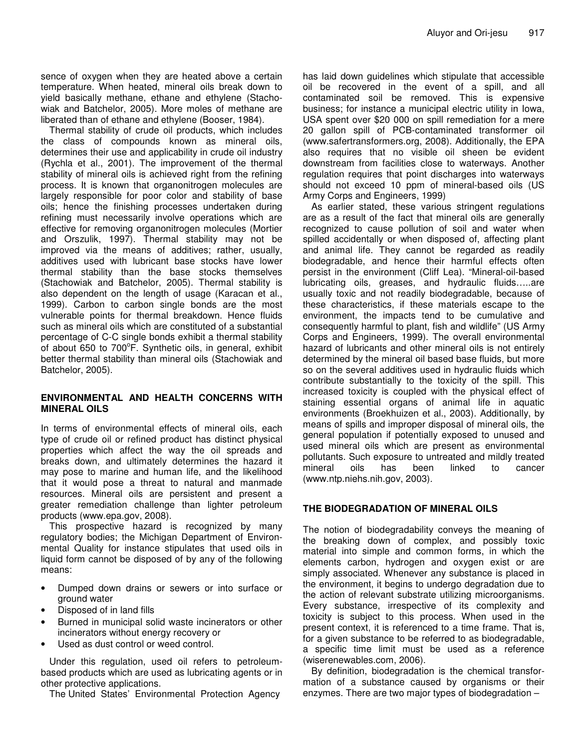sence of oxygen when they are heated above a certain temperature. When heated, mineral oils break down to yield basically methane, ethane and ethylene (Stachowiak and Batchelor, 2005). More moles of methane are liberated than of ethane and ethylene (Booser, 1984).

Thermal stability of crude oil products, which includes the class of compounds known as mineral oils, determines their use and applicability in crude oil industry (Rychla et al., 2001). The improvement of the thermal stability of mineral oils is achieved right from the refining process. It is known that organonitrogen molecules are largely responsible for poor color and stability of base oils; hence the finishing processes undertaken during refining must necessarily involve operations which are effective for removing organonitrogen molecules (Mortier and Orszulik, 1997). Thermal stability may not be improved via the means of additives; rather, usually, additives used with lubricant base stocks have lower thermal stability than the base stocks themselves (Stachowiak and Batchelor, 2005). Thermal stability is also dependent on the length of usage (Karacan et al., 1999). Carbon to carbon single bonds are the most vulnerable points for thermal breakdown. Hence fluids such as mineral oils which are constituted of a substantial percentage of C-C single bonds exhibit a thermal stability of about 650 to 700°F. Synthetic oils, in general, exhibit better thermal stability than mineral oils (Stachowiak and Batchelor, 2005).

### **ENVIRONMENTAL AND HEALTH CONCERNS WITH MINERAL OILS**

In terms of environmental effects of mineral oils, each type of crude oil or refined product has distinct physical properties which affect the way the oil spreads and breaks down, and ultimately determines the hazard it may pose to marine and human life, and the likelihood that it would pose a threat to natural and manmade resources. Mineral oils are persistent and present a greater remediation challenge than lighter petroleum products (www.epa.gov, 2008).

This prospective hazard is recognized by many regulatory bodies; the Michigan Department of Environmental Quality for instance stipulates that used oils in liquid form cannot be disposed of by any of the following means:

- Dumped down drains or sewers or into surface or ground water
- Disposed of in land fills
- Burned in municipal solid waste incinerators or other incinerators without energy recovery or
- Used as dust control or weed control.

Under this regulation, used oil refers to petroleumbased products which are used as lubricating agents or in other protective applications.

The United States' Environmental Protection Agency

has laid down guidelines which stipulate that accessible oil be recovered in the event of a spill, and all contaminated soil be removed. This is expensive business; for instance a municipal electric utility in Iowa, USA spent over \$20 000 on spill remediation for a mere 20 gallon spill of PCB-contaminated transformer oil (www.safertransformers.org, 2008). Additionally, the EPA also requires that no visible oil sheen be evident downstream from facilities close to waterways. Another regulation requires that point discharges into waterways should not exceed 10 ppm of mineral-based oils (US Army Corps and Engineers, 1999)

As earlier stated, these various stringent regulations are as a result of the fact that mineral oils are generally recognized to cause pollution of soil and water when spilled accidentally or when disposed of, affecting plant and animal life. They cannot be regarded as readily biodegradable, and hence their harmful effects often persist in the environment (Cliff Lea). "Mineral-oil-based lubricating oils, greases, and hydraulic fluids…..are usually toxic and not readily biodegradable, because of these characteristics, if these materials escape to the environment, the impacts tend to be cumulative and consequently harmful to plant, fish and wildlife" (US Army Corps and Engineers, 1999). The overall environmental hazard of lubricants and other mineral oils is not entirely determined by the mineral oil based base fluids, but more so on the several additives used in hydraulic fluids which contribute substantially to the toxicity of the spill. This increased toxicity is coupled with the physical effect of staining essential organs of animal life in aquatic environments (Broekhuizen et al., 2003). Additionally, by means of spills and improper disposal of mineral oils, the general population if potentially exposed to unused and used mineral oils which are present as environmental pollutants. Such exposure to untreated and mildly treated mineral oils has been linked to cancer (www.ntp.niehs.nih.gov, 2003).

### **THE BIODEGRADATION OF MINERAL OILS**

The notion of biodegradability conveys the meaning of the breaking down of complex, and possibly toxic material into simple and common forms, in which the elements carbon, hydrogen and oxygen exist or are simply associated. Whenever any substance is placed in the environment, it begins to undergo degradation due to the action of relevant substrate utilizing microorganisms. Every substance, irrespective of its complexity and toxicity is subject to this process. When used in the present context, it is referenced to a time frame. That is, for a given substance to be referred to as biodegradable, a specific time limit must be used as a reference (wiserenewables.com, 2006).

By definition, biodegradation is the chemical transformation of a substance caused by organisms or their enzymes. There are two major types of biodegradation –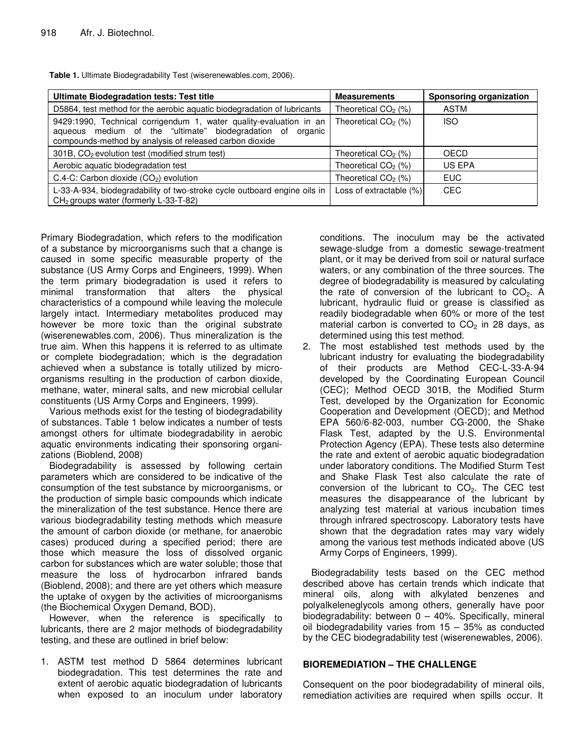| <b>Ultimate Biodegradation tests: Test title</b>                                                                                                                                            | <b>Measurements</b>             | <b>Sponsoring organization</b> |
|---------------------------------------------------------------------------------------------------------------------------------------------------------------------------------------------|---------------------------------|--------------------------------|
| D5864, test method for the aerobic aquatic biodegradation of lubricants                                                                                                                     | Theoretical CO <sub>2</sub> (%) | <b>ASTM</b>                    |
| 9429:1990, Technical corrigendum 1, water quality-evaluation in an<br>aqueous medium of the "ultimate" biodegradation of organic<br>compounds-method by analysis of released carbon dioxide | Theoretical $CO2$ (%)           | <b>ISO</b>                     |
| 301B, CO <sub>2</sub> evolution test (modified strum test)                                                                                                                                  | Theoretical $CO2$ (%)           | <b>OECD</b>                    |
| Aerobic aquatic biodegradation test                                                                                                                                                         | Theoretical $CO2$ (%)           | US EPA                         |
| $C.4-C$ : Carbon dioxide $(CO2)$ evolution                                                                                                                                                  | Theoretical $CO2$ (%)           | <b>EUC</b>                     |
| L-33-A-934, biodegradability of two-stroke cycle outboard engine oils in<br>CH <sub>2</sub> groups water (formerly L-33-T-82)                                                               | Loss of extractable (%)         | <b>CEC</b>                     |

**Table 1.** Ultimate Biodegradability Test (wiserenewables.com, 2006).

Primary Biodegradation, which refers to the modification of a substance by microorganisms such that a change is caused in some specific measurable property of the substance (US Army Corps and Engineers, 1999). When the term primary biodegradation is used it refers to minimal transformation that alters the physical characteristics of a compound while leaving the molecule largely intact. Intermediary metabolites produced may however be more toxic than the original substrate (wiserenewables.com, 2006). Thus mineralization is the true aim. When this happens it is referred to as ultimate or complete biodegradation; which is the degradation achieved when a substance is totally utilized by microorganisms resulting in the production of carbon dioxide, methane, water, mineral salts, and new microbial cellular constituents (US Army Corps and Engineers, 1999).

Various methods exist for the testing of biodegradability of substances. Table 1 below indicates a number of tests amongst others for ultimate biodegradability in aerobic aquatic environments indicating their sponsoring organizations (Bioblend, 2008)

Biodegradability is assessed by following certain parameters which are considered to be indicative of the consumption of the test substance by microorganisms, or the production of simple basic compounds which indicate the mineralization of the test substance. Hence there are various biodegradability testing methods which measure the amount of carbon dioxide (or methane, for anaerobic cases) produced during a specified period; there are those which measure the loss of dissolved organic carbon for substances which are water soluble; those that measure the loss of hydrocarbon infrared bands (Bioblend, 2008); and there are yet others which measure the uptake of oxygen by the activities of microorganisms (the Biochemical Oxygen Demand, BOD).

However, when the reference is specifically to lubricants, there are 2 major methods of biodegradability testing, and these are outlined in brief below:

1. ASTM test method D 5864 determines lubricant biodegradation. This test determines the rate and extent of aerobic aquatic biodegradation of lubricants when exposed to an inoculum under laboratory

conditions. The inoculum may be the activated sewage-sludge from a domestic sewage-treatment plant, or it may be derived from soil or natural surface waters, or any combination of the three sources. The degree of biodegradability is measured by calculating the rate of conversion of the lubricant to  $CO<sub>2</sub>$ . A lubricant, hydraulic fluid or grease is classified as readily biodegradable when 60% or more of the test material carbon is converted to  $CO<sub>2</sub>$  in 28 days, as determined using this test method.

2. The most established test methods used by the lubricant industry for evaluating the biodegradability of their products are Method CEC-L-33-A-94 developed by the Coordinating European Council (CEC); Method OECD 301B, the Modified Sturm Test, developed by the Organization for Economic Cooperation and Development (OECD); and Method EPA 560/6-82-003, number CG-2000, the Shake Flask Test, adapted by the U.S. Environmental Protection Agency (EPA). These tests also determine the rate and extent of aerobic aquatic biodegradation under laboratory conditions. The Modified Sturm Test and Shake Flask Test also calculate the rate of conversion of the lubricant to  $CO<sub>2</sub>$ . The CEC test measures the disappearance of the lubricant by analyzing test material at various incubation times through infrared spectroscopy. Laboratory tests have shown that the degradation rates may vary widely among the various test methods indicated above (US Army Corps of Engineers, 1999).

Biodegradability tests based on the CEC method described above has certain trends which indicate that mineral oils, along with alkylated benzenes and polyalkeleneglycols among others, generally have poor biodegradability: between  $0 - 40\%$ . Specifically, mineral oil biodegradability varies from 15 – 35% as conducted by the CEC biodegradability test (wiserenewables, 2006).

### **BIOREMEDIATION – THE CHALLENGE**

Consequent on the poor biodegradability of mineral oils, remediation activities are required when spills occur. It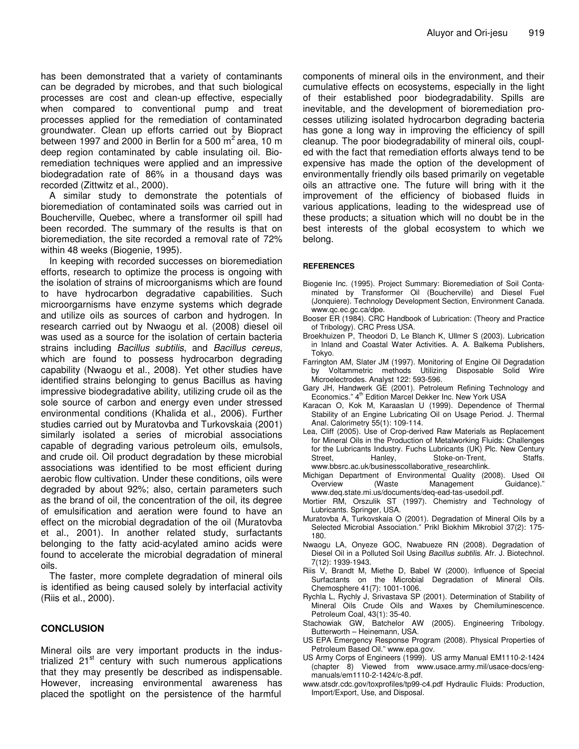has been demonstrated that a variety of contaminants can be degraded by microbes, and that such biological processes are cost and clean-up effective, especially when compared to conventional pump and treat processes applied for the remediation of contaminated groundwater. Clean up efforts carried out by Biopract between 1997 and 2000 in Berlin for a 500 m<sup>2</sup> area, 10 m deep region contaminated by cable insulating oil. Bioremediation techniques were applied and an impressive biodegradation rate of 86% in a thousand days was recorded (Zittwitz et al., 2000).

A similar study to demonstrate the potentials of bioremediation of contaminated soils was carried out in Boucherville, Quebec, where a transformer oil spill had been recorded. The summary of the results is that on bioremediation, the site recorded a removal rate of 72% within 48 weeks (Biogenie, 1995).

In keeping with recorded successes on bioremediation efforts, research to optimize the process is ongoing with the isolation of strains of microorganisms which are found to have hydrocarbon degradative capabilities. Such microorgarnisms have enzyme systems which degrade and utilize oils as sources of carbon and hydrogen. In research carried out by Nwaogu et al. (2008) diesel oil was used as a source for the isolation of certain bacteria strains including *Bacillus subtilis*, and *Bacillus cereus*, which are found to possess hydrocarbon degrading capability (Nwaogu et al., 2008). Yet other studies have identified strains belonging to genus Bacillus as having impressive biodegradative ability, utilizing crude oil as the sole source of carbon and energy even under stressed environmental conditions (Khalida et al., 2006). Further studies carried out by Muratovba and Turkovskaia (2001) similarly isolated a series of microbial associations capable of degrading various petroleum oils, emulsols, and crude oil. Oil product degradation by these microbial associations was identified to be most efficient during aerobic flow cultivation. Under these conditions, oils were degraded by about 92%; also, certain parameters such as the brand of oil, the concentration of the oil, its degree of emulsification and aeration were found to have an effect on the microbial degradation of the oil (Muratovba et al., 2001). In another related study, surfactants belonging to the fatty acid-acylated amino acids were found to accelerate the microbial degradation of mineral oils.

The faster, more complete degradation of mineral oils is identified as being caused solely by interfacial activity (Riis et al., 2000).

### **CONCLUSION**

Mineral oils are very important products in the industrialized 21<sup>st</sup> century with such numerous applications that they may presently be described as indispensable. However, increasing environmental awareness has placed the spotlight on the persistence of the harmful

components of mineral oils in the environment, and their cumulative effects on ecosystems, especially in the light of their established poor biodegradability. Spills are inevitable, and the development of bioremediation processes utilizing isolated hydrocarbon degrading bacteria has gone a long way in improving the efficiency of spill cleanup. The poor biodegradability of mineral oils, coupled with the fact that remediation efforts always tend to be expensive has made the option of the development of environmentally friendly oils based primarily on vegetable oils an attractive one. The future will bring with it the improvement of the efficiency of biobased fluids in various applications, leading to the widespread use of these products; a situation which will no doubt be in the best interests of the global ecosystem to which we belong.

#### **REFERENCES**

- Biogenie Inc. (1995). Project Summary: Bioremediation of Soil Contaminated by Transformer Oil (Boucherville) and Diesel Fuel (Jonquiere). Technology Development Section, Environment Canada. www.qc.ec.gc.ca/dpe.
- Booser ER (1984). CRC Handbook of Lubrication: (Theory and Practice of Tribology). CRC Press USA.
- Broekhuizen P, Theodori D, Le Blanch K, Ullmer S (2003). Lubrication in Inland and Coastal Water Activities. A. A. Balkema Publishers, Tokyo.
- Farrington AM, Slater JM (1997). Monitoring of Engine Oil Degradation by Voltammetric methods Utilizing Disposable Solid Wire Microelectrodes. Analyst 122: 593-596.
- Gary JH, Handwerk GE (2001). Petroleum Refining Technology and Economics." 4<sup>th</sup> Edition Marcel Dekker Inc. New York USA
- Karacan O, Kok M, Karaaslan U (1999). Dependence of Thermal Stability of an Engine Lubricating Oil on Usage Period. J. Thermal Anal. Calorimetry 55(1): 109-114.
- Lea, Cliff (2005). Use of Crop-derived Raw Materials as Replacement for Mineral Oils in the Production of Metalworking Fluids: Challenges for the Lubricants Industry. Fuchs Lubricants (UK) Plc. New Century Street, Hanley, Stoke-on-Trent, Staffs. www.bbsrc.ac.uk/businesscollaborative\_researchlink.
- Michigan Department of Environmental Quality (2008). Used Oil Overview (Waste Management www.deq.state.mi.us/documents/deq-ead-tas-usedoil.pdf.
- Mortier RM, Orszulik ST (1997). Chemistry and Technology of Lubricants. Springer, USA.
- Muratovba A, Turkovskaia O (2001). Degradation of Mineral Oils by a Selected Microbial Association." Prikl Biokhim Mikrobiol 37(2): 175- 180.
- Nwaogu LA, Onyeze GOC, Nwabueze RN (2008). Degradation of Diesel Oil in a Polluted Soil Using *Bacillus subtilis*. Afr. J. Biotechnol. 7(12): 1939-1943.
- Riis V, Brandt M, Miethe D, Babel W (2000). Influence of Special Surfactants on the Microbial Degradation of Mineral Oils. Chemosphere 41(7): 1001-1006.
- Rychla L, Rychly J, Srivastava SP (2001). Determination of Stability of Mineral Oils Crude Oils and Waxes by Chemiluminescence. Petroleum Coal, 43(1): 35-40.
- Stachowiak GW, Batchelor AW (2005). Engineering Tribology. Butterworth – Heinemann, USA.
- US EPA Emergency Response Program (2008). Physical Properties of Petroleum Based Oil." www.epa.gov.
- US Army Corps of Engineers (1999). US army Manual EM1110-2-1424 (chapter 8) Viewed from www.usace.army.mil/usace-docs/engmanuals/em1110-2-1424/c-8.pdf.
- www.atsdr.cdc.gov/toxprofiles/tp99-c4.pdf Hydraulic Fluids: Production, Import/Export, Use, and Disposal.